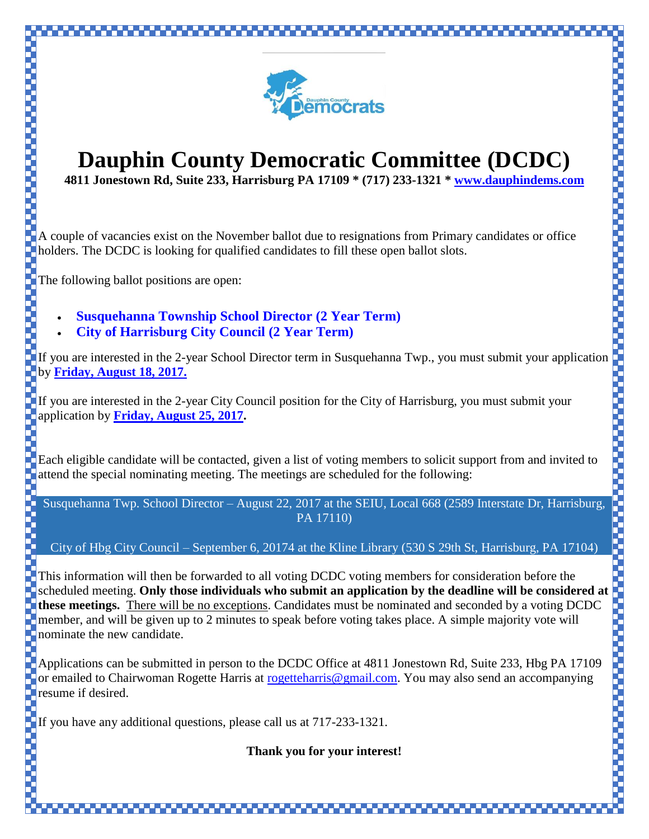

## **Dauphin County Democratic Committee (DCDC)**

**4811 Jonestown Rd, Suite 233, Harrisburg PA 17109 \* (717) 233-1321 \* [www.dauphindems.com](http://www.dauphindems.com/)**

A couple of vacancies exist on the November ballot due to resignations from Primary candidates or office **holders.** The DCDC is looking for qualified candidates to fill these open ballot slots.

The following ballot positions are open:

- **Susquehanna Township School Director (2 Year Term)**
- **City of Harrisburg City Council (2 Year Term)**

If you are interested in the 2-year School Director term in Susquehanna Twp., you must submit your application by **Friday, August 18, 2017.**

If you are interested in the 2-year City Council position for the City of Harrisburg, you must submit your application by **Friday, August 25, 2017.**

Each eligible candidate will be contacted, given a list of voting members to solicit support from and invited to attend the special nominating meeting. The meetings are scheduled for the following:

Susquehanna Twp. School Director – August 22, 2017 at the SEIU, Local 668 (2589 Interstate Dr, Harrisburg, PA 17110)

City of Hbg City Council – September 6, 20174 at the Kline Library (530 S 29th St, Harrisburg, PA 17104)

This information will then be forwarded to all voting DCDC voting members for consideration before the scheduled meeting. **Only those individuals who submit an application by the deadline will be considered at these meetings.** There will be no exceptions. Candidates must be nominated and seconded by a voting DCDC member, and will be given up to 2 minutes to speak before voting takes place. A simple majority vote will nominate the new candidate.

Applications can be submitted in person to the DCDC Office at 4811 Jonestown Rd, Suite 233, Hbg PA 17109 or emailed to Chairwoman Rogette Harris at [rogetteharris@gmail.com.](mailto:rogetteharris@gmail.com) You may also send an accompanying resume if desired.

If you have any additional questions, please call us at 717-233-1321.

**Thank you for your interest!**